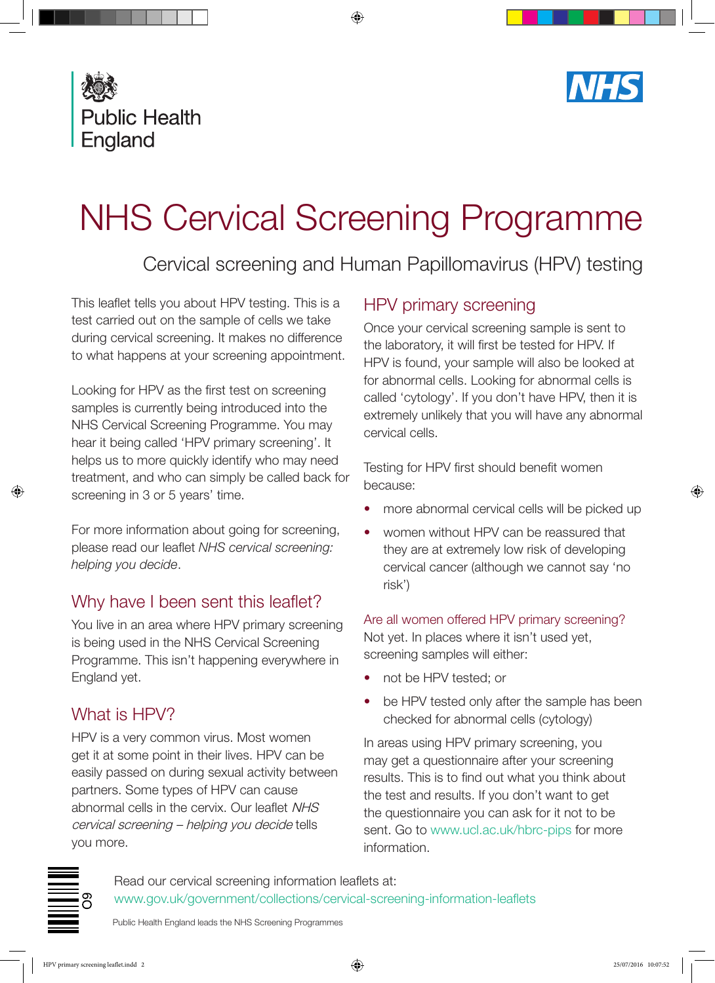



# NHS Cervical Screening Programme

## Cervical screening and Human Papillomavirus (HPV) testing

This leaflet tells you about HPV testing. This is a test carried out on the sample of cells we take during cervical screening. It makes no difference to what happens at your screening appointment.

Looking for HPV as the first test on screening samples is currently being introduced into the NHS Cervical Screening Programme. You may hear it being called 'HPV primary screening'. It helps us to more quickly identify who may need treatment, and who can simply be called back for screening in 3 or 5 years' time.

For more information about going for screening, please read our leaflet *NHS cervical screening: helping you decide*.

## Why have I been sent this leaflet?

You live in an area where HPV primary screening is being used in the NHS Cervical Screening Programme. This isn't happening everywhere in England yet.

## What is HPV?

HPV is a very common virus. Most women get it at some point in their lives. HPV can be easily passed on during sexual activity between partners. Some types of HPV can cause abnormal cells in the cervix. Our leaflet NHS cervical screening – helping you decide tells you more.

## HPV primary screening

Once your cervical screening sample is sent to the laboratory, it will first be tested for HPV. If HPV is found, your sample will also be looked at for abnormal cells. Looking for abnormal cells is called 'cytology'. If you don't have HPV, then it is extremely unlikely that you will have any abnormal cervical cells.

Testing for HPV first should benefit women because:

- more abnormal cervical cells will be picked up
- women without HPV can be reassured that they are at extremely low risk of developing cervical cancer (although we cannot say 'no risk')

#### Are all women offered HPV primary screening?

Not yet. In places where it isn't used yet, screening samples will either:

- not be HPV tested; or
- be HPV tested only after the sample has been checked for abnormal cells (cytology)

In areas using HPV primary screening, you may get a questionnaire after your screening results. This is to find out what you think about the test and results. If you don't want to get the questionnaire you can ask for it not to be sent. Go to [www.ucl.ac.uk/hbrc-pips](http://www.ucl.ac.uk/hbrc-pips) for more information.

Read our cervical screening information leaflets at: [www.gov.uk/government/collections/cervical-screening-information-leaflets](http://www.gov.uk/government/collections/cervical-screening-information-leaflets)